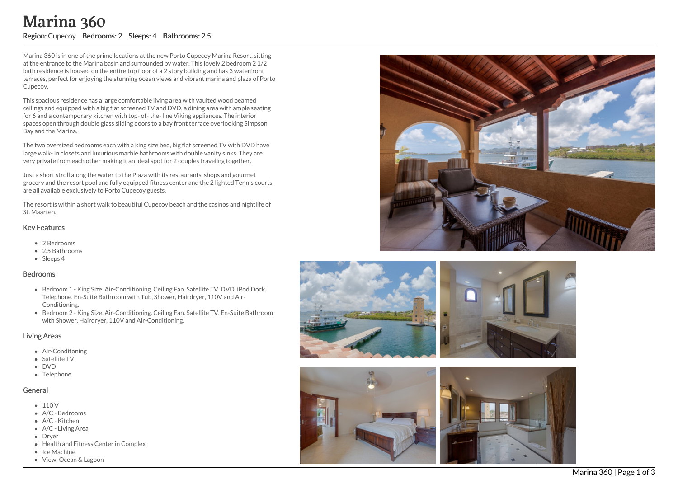## o m s: 2.5

Marina 360 is in one of the prime locations at the new Porto Cupecoy Marina Resort, sitting at the entrance to the Marina basin and surrounded by water. This lovely 2 bedroom 2 1/2 bath residence is housed on the entire top floor of a 2 story building and has 3 waterfront terraces, perfect for enjoying the stunning ocean views and vibrant marina and plaza of Porto Cupecoy.

This spacious residence has a large comfortable living area with vaulted wood beamed ceilings and equipped with a big flat screened TV and DVD, a dining area with ample seating for 6 and a contemporary kitchen with top- of-the-line Viking appliances. The interior spaces open through double glass sliding doors to a bay front terrace overlooking Simpson Bay and the Marina. Marina 360<br>
Negion: Cupecoy Bedrooms: 2 Sleeps: 4 Bathroc<br>
Narina 360 is in one of the prime locations at the new Porto<br>
at the entrance to the Marina basin and surrounded by wate<br>
bathresidence is housed on the entire to

The two oversized bedrooms each with a king size bed, big flat screened TV with DVD have large walk- in closets and luxurious marble bathrooms with double vanity sinks. They are very private from each other making it an ideal spot for 2 couples traveling together.

Just a short stroll along the water to the Plaza with its restaurants, shops and gourmet grocery and the resort pool and fully equipped fitness center and the 2 lighted Tennis court s are all available exclusively to Porto Cupecoy guests.

The resort is within a short walk to beautiful Cupecoy beach and the casinos and nightlife of St. Maarten.

#### Key Featur e s

- 2 B e d r o o m s
- 2.5 Bathrooms
- Sleeps 4

#### **Bedrooms**

- Bedroom 1 King Size. Air-Conditioning. Ceiling Fan. Satellite TV. DVD. iPod Dock. Telephone. En-Suite Bathroom with Tub, Shower, Hairdryer, 110V and Air- Conditioning.
- Bedroom 2 King Size. Air-Conditioning. Ceiling Fan. Satellite TV. En-Suite Bathroo m with Shower, Hairdryer, 110V and Air-Conditioning.

### Living Areas

- Air-Conditoning
- Satellite TV
- DVD
- Telephone

## **General**

- $110V$
- A/C Bedrooms
- A/C Kitchen
- A/C Living Area
- Drver
- Health and Fitness Center in Complex
- Ice Machine
- 







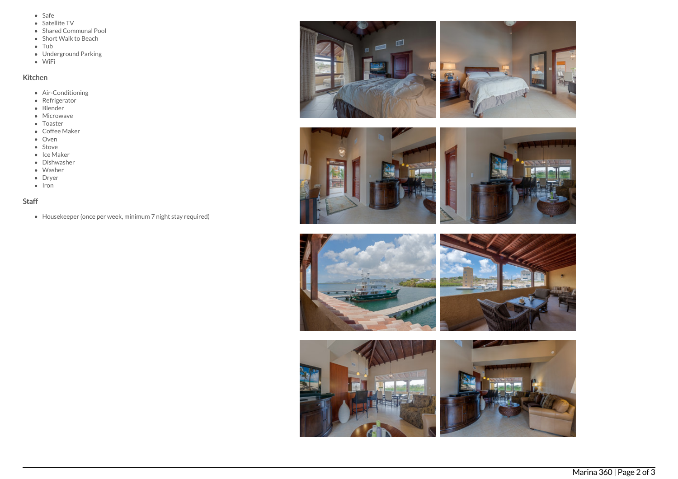- Safe
- Satellite TV
- Shared Communal Pool
- Short Walk to Beach
- Tub
- Underground Parking
- WiFi

# Kitchen

- Air-Conditioning
- Refrigerator
- Blender
- Microwave
- Toaster
- Coffee Maker
- Oven
- Stove
- Ice Maker
- Dishwasher
- Washer
- Dryer
- $\bullet$  Iron

# Staff

Housekeeper (once per week, minimum 7 night stay required)